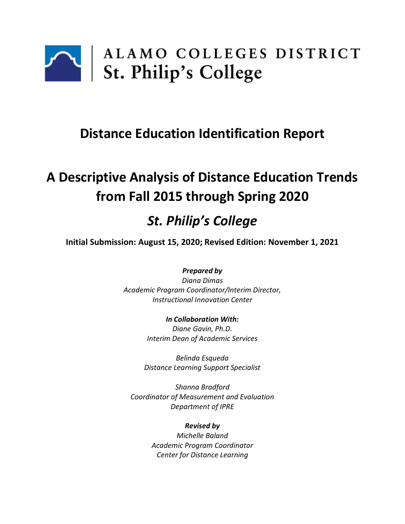

## **Distance Education Identification Report**

# **A Descriptive Analysis of Distance Education Trends from Fall 2015 through Spring 2020**

## *St. Philip's College*

**Initial Submission: August 15, 2020; Revised Edition: November 1, 2021**

*Prepared by Diana Dimas*

*Academic Program Coordinator/Interim Director, Instructional Innovation Center*

> *In Collaboration With: Diane Gavin, Ph.D. Interim Dean of Academic Services*

*Belinda Esqueda Distance Learning Support Specialist*

*Shanna Bradford Coordinator of Measurement and Evaluation Department of IPRE*

*Revised by*

*Michelle Baland Academic Program Coordinator Center for Distance Learning*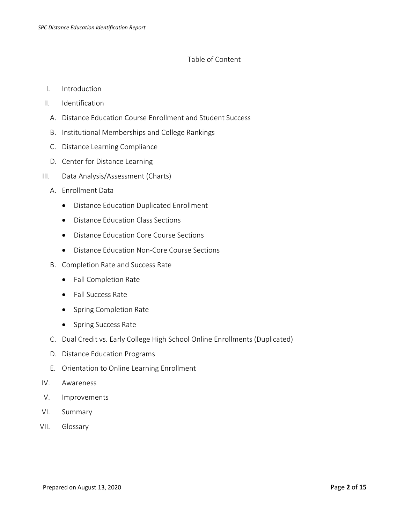#### Table of Content

- I. Introduction
- II. Identification
	- A. Distance Education Course Enrollment and Student Success
	- B. Institutional Memberships and College Rankings
	- C. Distance Learning Compliance
	- D. Center for Distance Learning
- III. Data Analysis/Assessment (Charts)
	- A. Enrollment Data
		- Distance Education Duplicated Enrollment
		- Distance Education Class Sections
		- Distance Education Core Course Sections
		- Distance Education Non-Core Course Sections
	- B. Completion Rate and Success Rate
		- Fall Completion Rate
		- Fall Success Rate
		- Spring Completion Rate
		- Spring Success Rate
	- C. Dual Credit vs. Early College High School Online Enrollments (Duplicated)
	- D. Distance Education Programs
	- E. Orientation to Online Learning Enrollment
- IV. Awareness
- V. Improvements
- VI. Summary
- VII. Glossary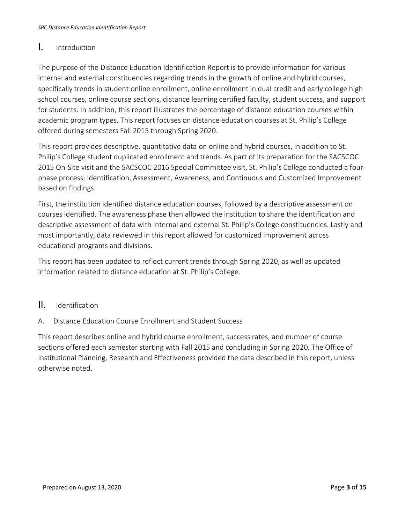### I. Introduction

The purpose of the Distance Education Identification Report is to provide information for various internal and external constituencies regarding trends in the growth of online and hybrid courses, specifically trends in student online enrollment, online enrollment in dual credit and early college high school courses, online course sections, distance learning certified faculty, student success, and support for students. In addition, this report illustrates the percentage of distance education courses within academic program types. This report focuses on distance education courses at St. Philip's College offered during semesters Fall 2015 through Spring 2020.

This report provides descriptive, quantitative data on online and hybrid courses, in addition to St. Philip's College student duplicated enrollment and trends. As part of its preparation for the SACSCOC 2015 On-Site visit and the SACSCOC 2016 Special Committee visit, St. Philip's College conducted a fourphase process: Identification, Assessment, Awareness, and Continuous and Customized Improvement based on findings.

First, the institution identified distance education courses, followed by a descriptive assessment on courses identified. The awareness phase then allowed the institution to share the identification and descriptive assessment of data with internal and external St. Philip's College constituencies. Lastly and most importantly, data reviewed in this report allowed for customized improvement across educational programs and divisions.

This report has been updated to reflect current trends through Spring 2020, as well as updated information related to distance education at St. Philip's College.

#### II. Identification

#### A. Distance Education Course Enrollment and Student Success

This report describes online and hybrid course enrollment, success rates, and number of course sections offered each semester starting with Fall 2015 and concluding in Spring 2020. The Office of Institutional Planning, Research and Effectiveness provided the data described in this report, unless otherwise noted.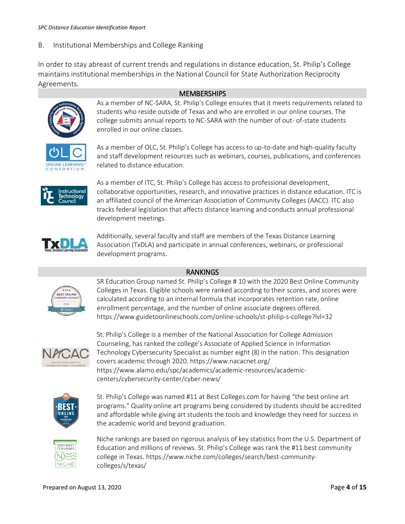B. Institutional Memberships and College Ranking

In order to stay abreast of current trends and regulations in distance education, St. Philip's College maintains institutional memberships in the National Council for State Authorization Reciprocity Agreements.

#### **MEMBERSHIPS**



As a member of NC-SARA, St. Philip's College ensures that it meets requirements related to students who reside outside of Texas and who are enrolled in our online courses. The college submits annual reports to NC-SARA with the number of out- of-state students enrolled in our online classes.



As a member of OLC, St. Philip's College has access to up-to-date and high-quality faculty and staff development resources such as webinars, courses, publications, and conferences related to distance education.



As a member of ITC, St. Philip's College has access to professional development, collaborative opportunities, research, and innovative practices in distance education. ITC is an affiliated council of the American Association of Community Colleges (AACC). ITC also tracks federal legislation that affects distance learning and conducts annual professional development meetings.



Additionally, several faculty and staff are members of the Texas Distance Learning Association (TxDLA) and participate in annual conferences, webinars, or professional development programs.

#### RANKINGS



SR Education Group named St. Philip's College # 10 with the 2020 Best Online Community Colleges in Texas. Eligible schools were ranked according to their scores, and scores were calculated according to an internal formula that incorporates retention rate, online enrollment percentage, and the number of online associate degrees offered. https://www.guidetoonlineschools.com/online-schools/st-philip-s-college?lvl=32



St. Philip's College is a member of the National Association for College Admission Counseling, has ranked the college's Associate of Applied Science in Information Technology Cybersecurity Specialist as number eight (8) in the nation. This designation covers academic through 2020. https://www.nacacnet.org/ https://www.alamo.edu/spc/academics/academic-resources/academiccenters/cybersecurity-center/cyber-news/



St. Philip's College was named #11 at Best Colleges.com for having "the best online art programs." Quality online art programs being considered by students should be accredited and affordable while giving art students the tools and knowledge they need for success in the academic world and beyond graduation.



Niche rankings are based on rigorous analysis of key statistics from the U.S. Department of Education and millions of reviews. St. Philip's College was rank the #11 best community college in Texas. https://www.niche.com/colleges/search/best-communitycolleges/s/texas/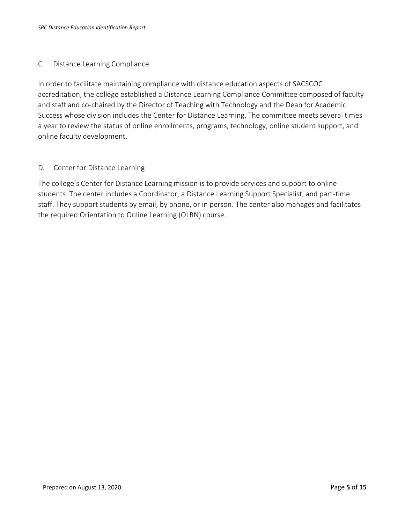#### C. Distance Learning Compliance

In order to facilitate maintaining compliance with distance education aspects of SACSCOC accreditation, the college established a Distance Learning Compliance Committee composed of faculty and staff and co-chaired by the Director of Teaching with Technology and the Dean for Academic Success whose division includes the Center for Distance Learning. The committee meets several times a year to review the status of online enrollments, programs, technology, online student support, and online faculty development.

#### D. Center for Distance Learning

The college's Center for Distance Learning mission is to provide services and support to online students. The center includes a Coordinator, a Distance Learning Support Specialist, and part-time staff. They support students by email, by phone, or in person. The center also manages and facilitates the required Orientation to Online Learning (OLRN) course.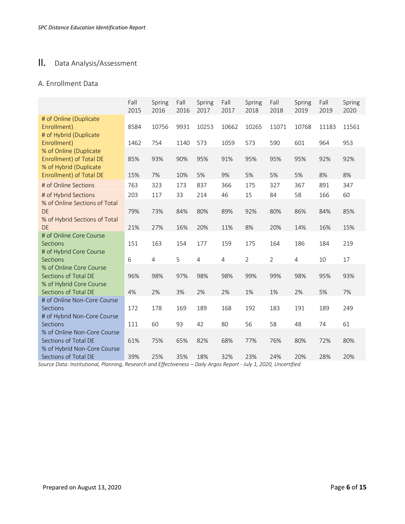## II. Data Analysis/Assessment

#### A. Enrollment Data

|                                                                                    | Fall<br>2015 | Spring<br>2016 | Fall<br>2016 | Spring<br>2017 | Fall<br>2017   | Spring<br>2018 | Fall<br>2018   | Spring<br>2019 | Fall<br>2019 | Spring<br>2020 |
|------------------------------------------------------------------------------------|--------------|----------------|--------------|----------------|----------------|----------------|----------------|----------------|--------------|----------------|
| # of Online (Duplicate<br>Enrollment)<br># of Hybrid (Duplicate                    | 8584         | 10756          | 9931         | 10253          | 10662          | 10265          | 11071          | 10768          | 11183        | 11561          |
| Enrollment)                                                                        | 1462         | 754            | 1140         | 573            | 1059           | 573            | 590            | 601            | 964          | 953            |
| % of Online (Duplicate<br><b>Enrollment) of Total DE</b><br>% of Hybrid (Duplicate | 85%          | 93%            | 90%          | 95%            | 91%            | 95%            | 95%            | 95%            | 92%          | 92%            |
| Enrollment) of Total DE                                                            | 15%          | 7%             | 10%          | 5%             | 9%             | 5%             | 5%             | 5%             | 8%           | 8%             |
| # of Online Sections                                                               | 763          | 323            | 173          | 837            | 366            | 175            | 327            | 367            | 891          | 347            |
| # of Hybrid Sections                                                               | 203          | 117            | 33           | 214            | 46             | 15             | 84             | 58             | 166          | 60             |
| % of Online Sections of Total<br><b>DE</b><br>% of Hybrid Sections of Total        | 79%          | 73%            | 84%          | 80%            | 89%            | 92%            | 80%            | 86%            | 84%          | 85%            |
| <b>DE</b>                                                                          | 21%          | 27%            | 16%          | 20%            | 11%            | 8%             | 20%            | 14%            | 16%          | 15%            |
| # of Online Core Course<br><b>Sections</b><br># of Hybrid Core Course              | 151          | 163            | 154          | 177            | 159            | 175            | 164            | 186            | 184          | 219            |
| <b>Sections</b>                                                                    | 6            | $\overline{4}$ | 5            | $\overline{4}$ | $\overline{4}$ | $\overline{2}$ | $\overline{2}$ | 4              | 10           | 17             |
| % of Online Core Course<br>Sections of Total DE<br>% of Hybrid Core Course         | 96%          | 98%            | 97%          | 98%            | 98%            | 99%            | 99%            | 98%            | 95%          | 93%            |
| Sections of Total DE                                                               | 4%           | 2%             | 3%           | 2%             | 2%             | 1%             | 1%             | 2%             | 5%           | 7%             |
| # of Online Non-Core Course<br>Sections<br># of Hybrid Non-Core Course             | 172          | 178            | 169          | 189            | 168            | 192            | 183            | 191            | 189          | 249            |
| Sections                                                                           | 111          | 60             | 93           | 42             | 80             | 56             | 58             | 48             | 74           | 61             |
| % of Online Non-Core Course<br>Sections of Total DE<br>% of Hybrid Non-Core Course | 61%          | 75%            | 65%          | 82%            | 68%            | 77%            | 76%            | 80%            | 72%          | 80%            |
| Sections of Total DE                                                               | 39%          | 25%            | 35%          | 18%            | 32%            | 23%            | 24%            | 20%            | 28%          | 20%            |

*Source Data: Institutional, Planning, Research and Effectiveness – Daily Argos Report - July 1, 2020, Uncertified*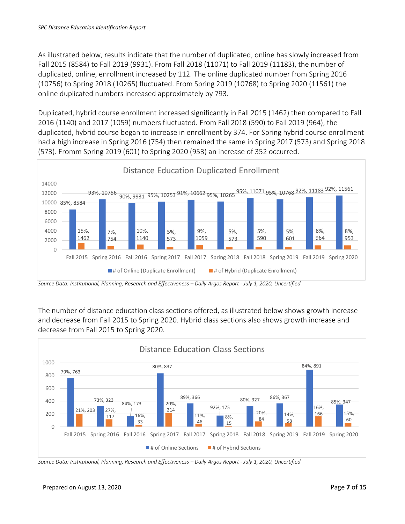As illustrated below, results indicate that the number of duplicated, online has slowly increased from Fall 2015 (8584) to Fall 2019 (9931). From Fall 2018 (11071) to Fall 2019 (11183), the number of duplicated, online, enrollment increased by 112. The online duplicated number from Spring 2016 (10756) to Spring 2018 (10265) fluctuated. From Spring 2019 (10768) to Spring 2020 (11561) the online duplicated numbers increased approximately by 793.

Duplicated, hybrid course enrollment increased significantly in Fall 2015 (1462) then compared to Fall 2016 (1140) and 2017 (1059) numbers fluctuated. From Fall 2018 (590) to Fall 2019 (964), the duplicated, hybrid course began to increase in enrollment by 374. For Spring hybrid course enrollment had a high increase in Spring 2016 (754) then remained the same in Spring 2017 (573) and Spring 2018 (573). Fromm Spring 2019 (601) to Spring 2020 (953) an increase of 352 occurred.



*Source Data: Institutional, Planning, Research and Effectiveness – Daily Argos Report - July 1, 2020, Uncertified*

The number of distance education class sections offered, as illustrated below shows growth increase and decrease from Fall 2015 to Spring 2020. Hybrid class sections also shows growth increase and decrease from Fall 2015 to Spring 2020.



*Source Data: Institutional, Planning, Research and Effectiveness – Daily Argos Report - July 1, 2020, Uncertified*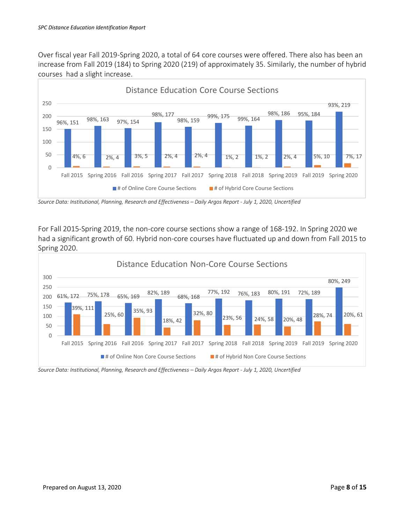Over fiscal year Fall 2019-Spring 2020, a total of 64 core courses were offered. There also has been an increase from Fall 2019 (184) to Spring 2020 (219) of approximately 35. Similarly, the number of hybrid courses had a slight increase.



*Source Data: Institutional, Planning, Research and Effectiveness – Daily Argos Report - July 1, 2020, Uncertified*

For Fall 2015-Spring 2019, the non-core course sections show a range of 168-192. In Spring 2020 we had a significant growth of 60. Hybrid non-core courses have fluctuated up and down from Fall 2015 to Spring 2020.



*Source Data: Institutional, Planning, Research and Effectiveness – Daily Argos Report - July 1, 2020, Uncertified*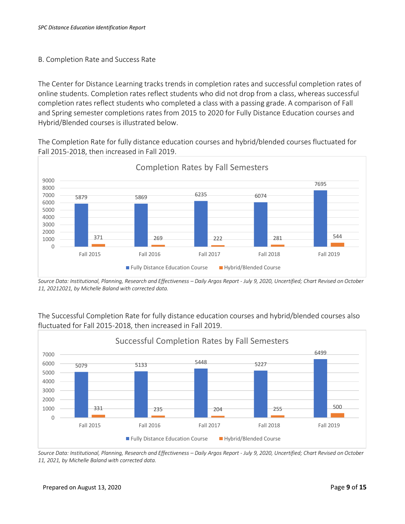#### B. Completion Rate and Success Rate

The Center for Distance Learning tracks trends in completion rates and successful completion rates of online students. Completion rates reflect students who did not drop from a class, whereas successful completion rates reflect students who completed a class with a passing grade. A comparison of Fall and Spring semester completions rates from 2015 to 2020 for Fully Distance Education courses and Hybrid/Blended courses is illustrated below.

The Completion Rate for fully distance education courses and hybrid/blended courses fluctuated for Fall 2015-2018, then increased in Fall 2019.



*Source Data: Institutional, Planning, Research and Effectiveness – Daily Argos Report - July 9, 2020, Uncertified; Chart Revised on October 11, 20212021, by Michelle Baland with corrected data.*

The Successful Completion Rate for fully distance education courses and hybrid/blended courses also fluctuated for Fall 2015-2018, then increased in Fall 2019.



*Source Data: Institutional, Planning, Research and Effectiveness – Daily Argos Report - July 9, 2020, Uncertified; Chart Revised on October 11, 2021, by Michelle Baland with corrected data.*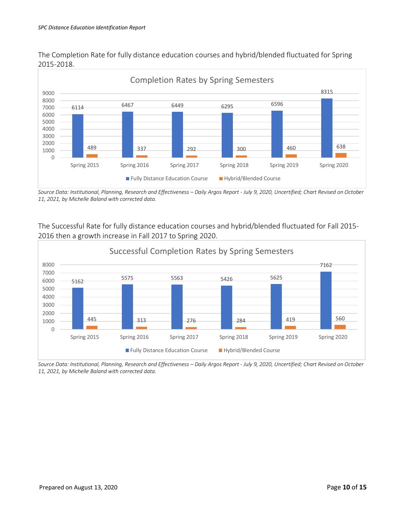

The Completion Rate for fully distance education courses and hybrid/blended fluctuated for Spring 2015-2018.

*Source Data: Institutional, Planning, Research and Effectiveness – Daily Argos Report - July 9, 2020, Uncertified; Chart Revised on October 11, 2021, by Michelle Baland with corrected data.*

The Successful Rate for fully distance education courses and hybrid/blended fluctuated for Fall 2015- 2016 then a growth increase in Fall 2017 to Spring 2020.



*Source Data: Institutional, Planning, Research and Effectiveness – Daily Argos Report - July 9, 2020, Uncertified; Chart Revised on October 11, 2021, by Michelle Baland with corrected data.*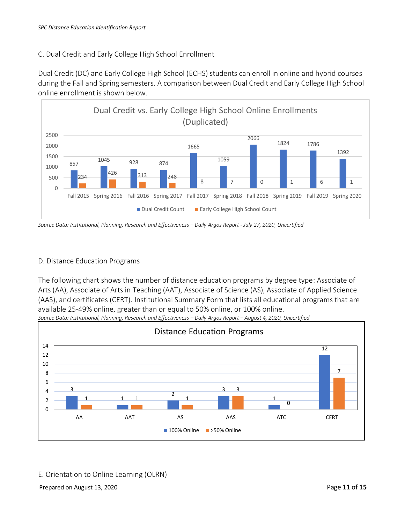#### C. Dual Credit and Early College High School Enrollment

Dual Credit (DC) and Early College High School (ECHS) students can enroll in online and hybrid courses during the Fall and Spring semesters. A comparison between Dual Credit and Early College High School online enrollment is shown below.



*Source Data: Institutional, Planning, Research and Effectiveness – Daily Argos Report - July 27, 2020, Uncertified*

#### D. Distance Education Programs

The following chart shows the number of distance education programs by degree type: Associate of Arts (AA), Associate of Arts in Teaching (AAT), Associate of Science (AS), Associate of Applied Science (AAS), and certificates (CERT). Institutional Summary Form that lists all educational programs that are available 25-49% online, greater than or equal to 50% online, or 100% online.



E. Orientation to Online Learning (OLRN)

Prepared on August 13, 2020 **Page 11** of **15** Page **11** of **15** Page **11** of **15**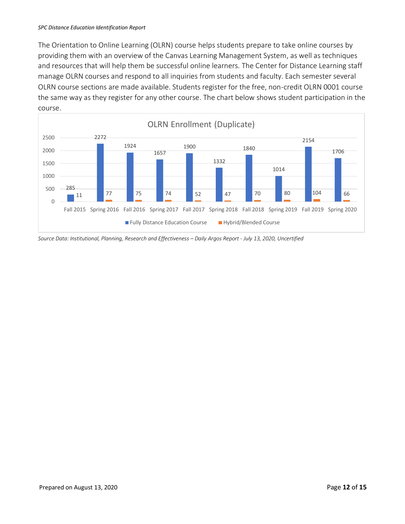The Orientation to Online Learning (OLRN) course helps students prepare to take online courses by providing them with an overview of the Canvas Learning Management System, as well as techniques and resources that will help them be successful online learners. The Center for Distance Learning staff manage OLRN courses and respond to all inquiries from students and faculty. Each semester several OLRN course sections are made available. Students register for the free, non-credit OLRN 0001 course the same way as they register for any other course. The chart below shows student participation in the course.



*Source Data: Institutional, Planning, Research and Effectiveness – Daily Argos Report - July 13, 2020, Uncertified*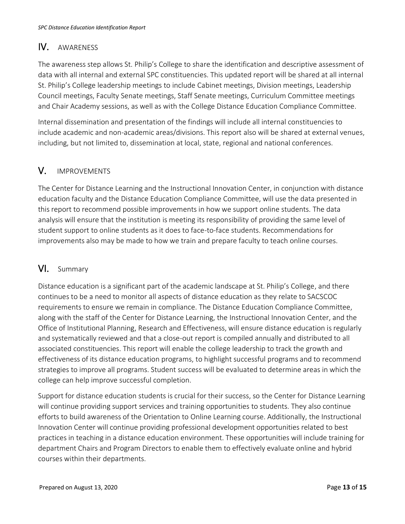## IV. AWARENESS

The awareness step allows St. Philip's College to share the identification and descriptive assessment of data with all internal and external SPC constituencies. This updated report will be shared at all internal St. Philip's College leadership meetings to include Cabinet meetings, Division meetings, Leadership Council meetings, Faculty Senate meetings, Staff Senate meetings, Curriculum Committee meetings and Chair Academy sessions, as well as with the College Distance Education Compliance Committee.

Internal dissemination and presentation of the findings will include all internal constituencies to include academic and non-academic areas/divisions. This report also will be shared at external venues, including, but not limited to, dissemination at local, state, regional and national conferences.

### V. IMPROVEMENTS

The Center for Distance Learning and the Instructional Innovation Center, in conjunction with distance education faculty and the Distance Education Compliance Committee, will use the data presented in this report to recommend possible improvements in how we support online students. The data analysis will ensure that the institution is meeting its responsibility of providing the same level of student support to online students as it does to face-to-face students. Recommendations for improvements also may be made to how we train and prepare faculty to teach online courses.

### VI. Summary

Distance education is a significant part of the academic landscape at St. Philip's College, and there continues to be a need to monitor all aspects of distance education as they relate to SACSCOC requirements to ensure we remain in compliance. The Distance Education Compliance Committee, along with the staff of the Center for Distance Learning, the Instructional Innovation Center, and the Office of Institutional Planning, Research and Effectiveness, will ensure distance education is regularly and systematically reviewed and that a close-out report is compiled annually and distributed to all associated constituencies. This report will enable the college leadership to track the growth and effectiveness of its distance education programs, to highlight successful programs and to recommend strategies to improve all programs. Student success will be evaluated to determine areas in which the college can help improve successful completion.

Support for distance education students is crucial for their success, so the Center for Distance Learning will continue providing support services and training opportunities to students. They also continue efforts to build awareness of the Orientation to Online Learning course. Additionally, the Instructional Innovation Center will continue providing professional development opportunities related to best practices in teaching in a distance education environment. These opportunities will include training for department Chairs and Program Directors to enable them to effectively evaluate online and hybrid courses within their departments.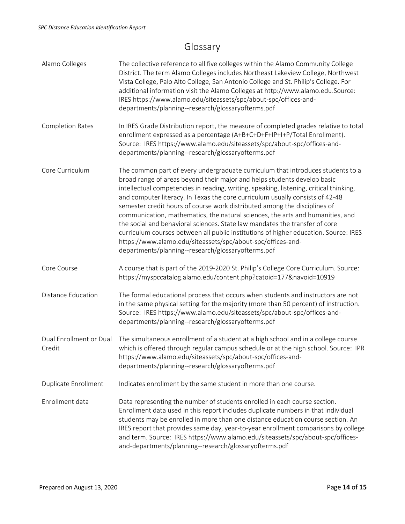## Glossary

| Alamo Colleges                    | The collective reference to all five colleges within the Alamo Community College<br>District. The term Alamo Colleges includes Northeast Lakeview College, Northwest<br>Vista College, Palo Alto College, San Antonio College and St. Philip's College. For<br>additional information visit the Alamo Colleges at http://www.alamo.edu.Source:<br>IRES https://www.alamo.edu/siteassets/spc/about-spc/offices-and-<br>departments/planning--research/glossaryofterms.pdf                                                                                                                                                                                                                                                                                                                          |
|-----------------------------------|---------------------------------------------------------------------------------------------------------------------------------------------------------------------------------------------------------------------------------------------------------------------------------------------------------------------------------------------------------------------------------------------------------------------------------------------------------------------------------------------------------------------------------------------------------------------------------------------------------------------------------------------------------------------------------------------------------------------------------------------------------------------------------------------------|
| <b>Completion Rates</b>           | In IRES Grade Distribution report, the measure of completed grades relative to total<br>enrollment expressed as a percentage (A+B+C+D+F+IP+I+P/Total Enrollment).<br>Source: IRES https://www.alamo.edu/siteassets/spc/about-spc/offices-and-<br>departments/planning--research/glossaryofterms.pdf                                                                                                                                                                                                                                                                                                                                                                                                                                                                                               |
| Core Curriculum                   | The common part of every undergraduate curriculum that introduces students to a<br>broad range of areas beyond their major and helps students develop basic<br>intellectual competencies in reading, writing, speaking, listening, critical thinking,<br>and computer literacy. In Texas the core curriculum usually consists of 42-48<br>semester credit hours of course work distributed among the disciplines of<br>communication, mathematics, the natural sciences, the arts and humanities, and<br>the social and behavioral sciences. State law mandates the transfer of core<br>curriculum courses between all public institutions of higher education. Source: IRES<br>https://www.alamo.edu/siteassets/spc/about-spc/offices-and-<br>departments/planning--research/glossaryofterms.pdf |
| Core Course                       | A course that is part of the 2019-2020 St. Philip's College Core Curriculum. Source:<br>https://myspccatalog.alamo.edu/content.php?catoid=177&navoid=10919                                                                                                                                                                                                                                                                                                                                                                                                                                                                                                                                                                                                                                        |
| <b>Distance Education</b>         | The formal educational process that occurs when students and instructors are not<br>in the same physical setting for the majority (more than 50 percent) of instruction.<br>Source: IRES https://www.alamo.edu/siteassets/spc/about-spc/offices-and-<br>departments/planning--research/glossaryofterms.pdf                                                                                                                                                                                                                                                                                                                                                                                                                                                                                        |
| Dual Enrollment or Dual<br>Credit | The simultaneous enrollment of a student at a high school and in a college course<br>which is offered through regular campus schedule or at the high school. Source: IPR<br>https://www.alamo.edu/siteassets/spc/about-spc/offices-and-<br>departments/planning--research/glossaryofterms.pdf                                                                                                                                                                                                                                                                                                                                                                                                                                                                                                     |
| Duplicate Enrollment              | Indicates enrollment by the same student in more than one course.                                                                                                                                                                                                                                                                                                                                                                                                                                                                                                                                                                                                                                                                                                                                 |
| Enrollment data                   | Data representing the number of students enrolled in each course section.<br>Enrollment data used in this report includes duplicate numbers in that individual<br>students may be enrolled in more than one distance education course section. An<br>IRES report that provides same day, year-to-year enrollment comparisons by college<br>and term. Source: IRES https://www.alamo.edu/siteassets/spc/about-spc/offices-<br>and-departments/planning--research/glossaryofterms.pdf                                                                                                                                                                                                                                                                                                               |